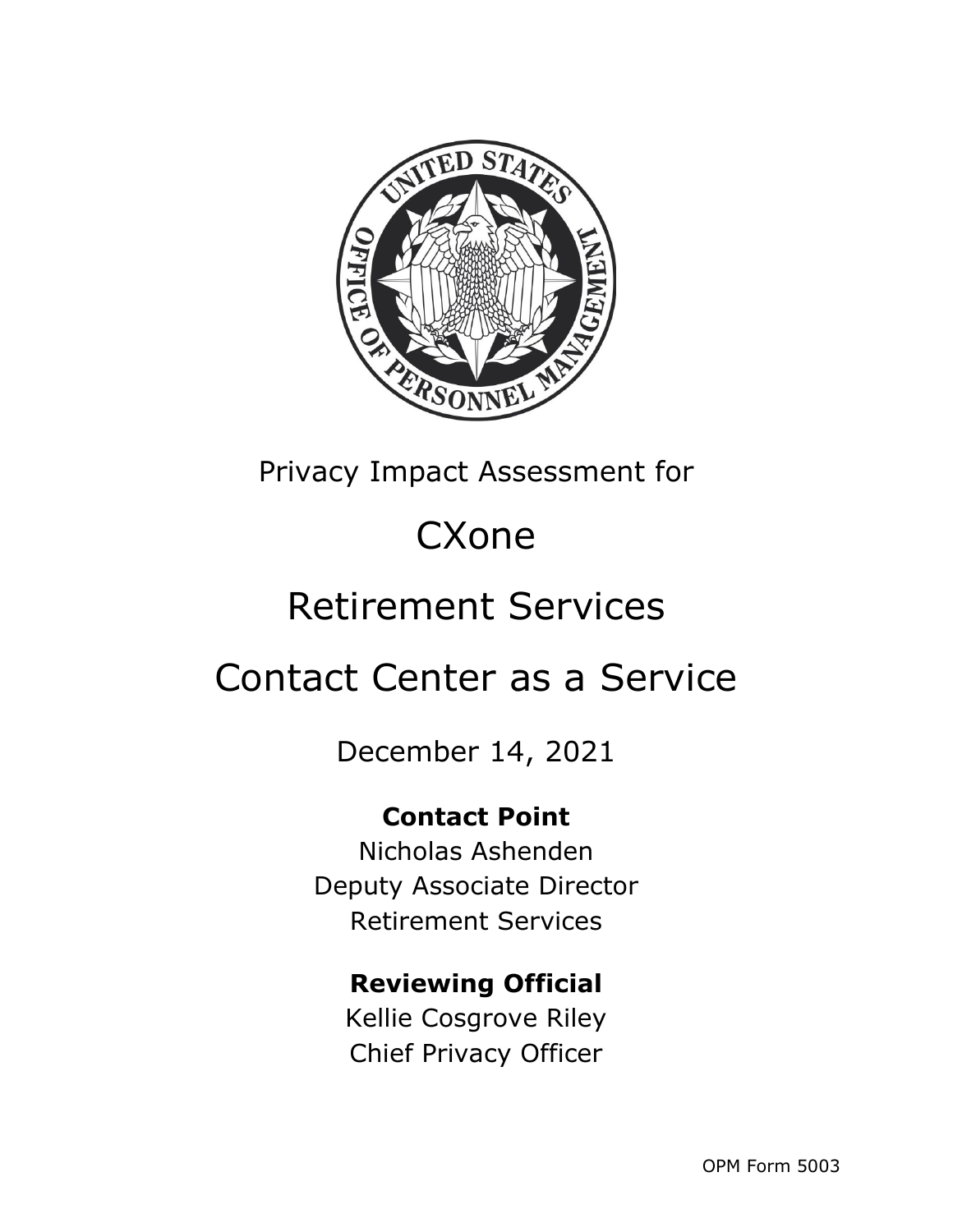

Privacy Impact Assessment for

# **CXone**

# Retirement Services

# Contact Center as a Service

December 14, 2021

### **Contact Point**

Nicholas Ashenden Deputy Associate Director Retirement Services

### **Reviewing Official**

Kellie Cosgrove Riley Chief Privacy Officer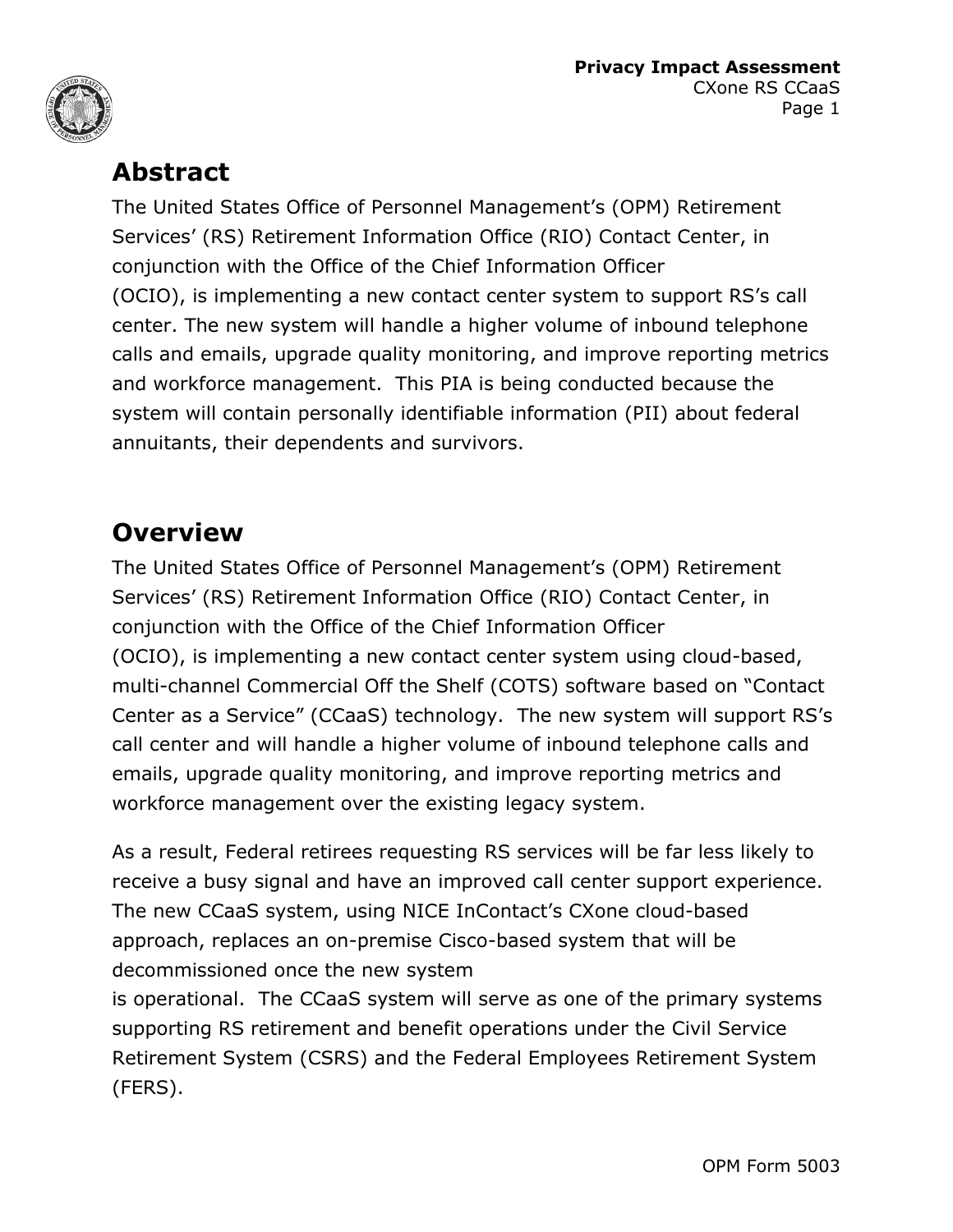



### **Abstract**

The United States Office of Personnel Management's (OPM) Retirement Services' (RS) Retirement Information Office (RIO) Contact Center, in conjunction with the Office of the Chief Information Officer (OCIO), is implementing a new contact center system to support RS's call center. The new system will handle a higher volume of inbound telephone calls and emails, upgrade quality monitoring, and improve reporting metrics and workforce management. This PIA is being conducted because the system will contain personally identifiable information (PII) about federal annuitants, their dependents and survivors.

### **Overview**

The United States Office of Personnel Management's (OPM) Retirement Services' (RS) Retirement Information Office (RIO) Contact Center, in conjunction with the Office of the Chief Information Officer (OCIO), is implementing a new contact center system using cloud-based, multi-channel Commercial Off the Shelf (COTS) software based on "Contact Center as a Service" (CCaaS) technology. The new system will support RS's call center and will handle a higher volume of inbound telephone calls and emails, upgrade quality monitoring, and improve reporting metrics and workforce management over the existing legacy system.

As a result, Federal retirees requesting RS services will be far less likely to receive a busy signal and have an improved call center support experience. The new CCaaS system, using NICE InContact's CXone cloud-based approach, replaces an on-premise Cisco-based system that will be decommissioned once the new system

is operational. The CCaaS system will serve as one of the primary systems supporting RS retirement and benefit operations under the Civil Service Retirement System (CSRS) and the Federal Employees Retirement System (FERS).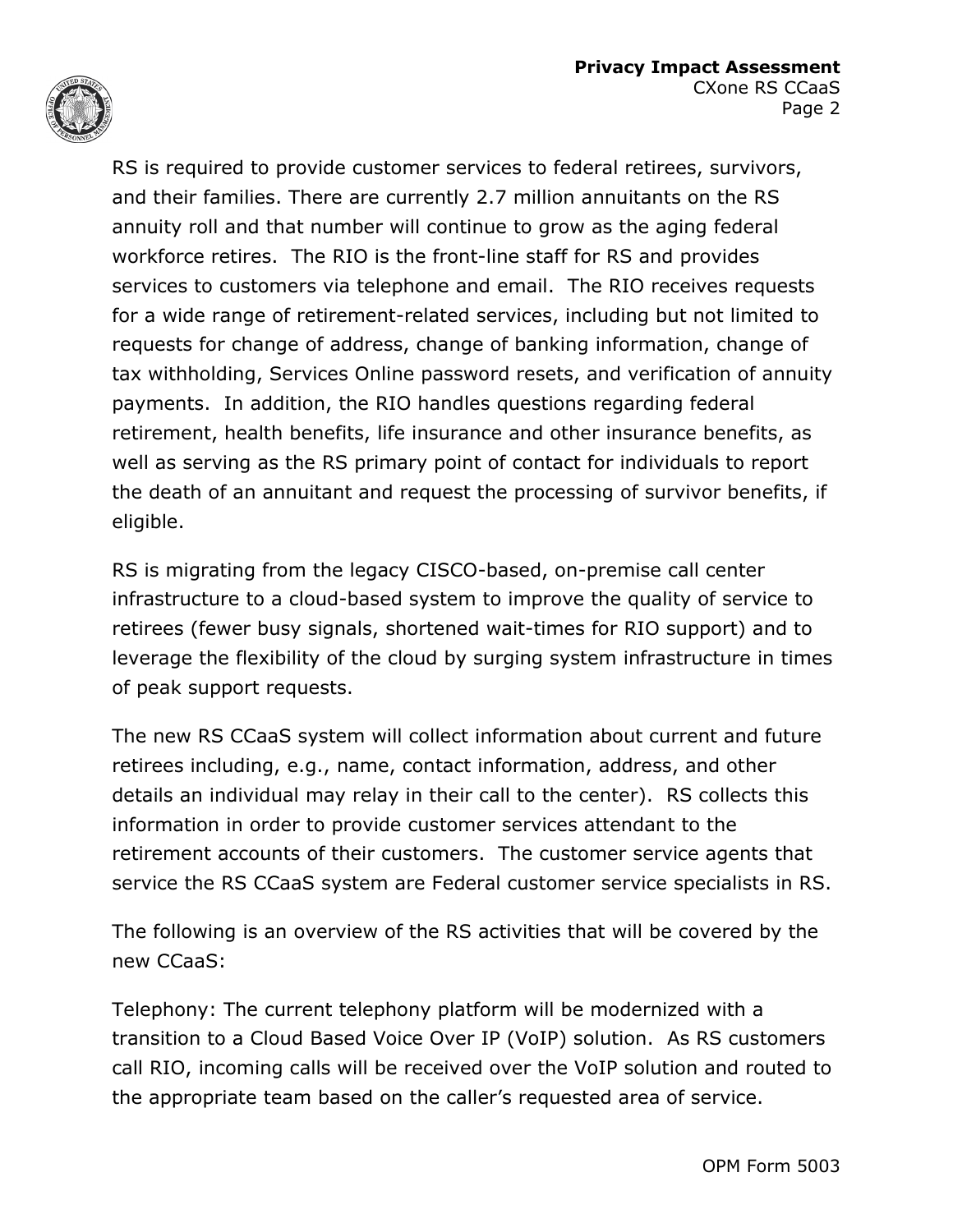

RS is required to provide customer services to federal retirees, survivors, and their families. There are currently 2.7 million annuitants on the RS annuity roll and that number will continue to grow as the aging federal workforce retires. The RIO is the front-line staff for RS and provides services to customers via telephone and email. The RIO receives requests for a wide range of retirement-related services, including but not limited to requests for change of address, change of banking information, change of tax withholding, Services Online password resets, and verification of annuity payments. In addition, the RIO handles questions regarding federal retirement, health benefits, life insurance and other insurance benefits, as well as serving as the RS primary point of contact for individuals to report the death of an annuitant and request the processing of survivor benefits, if eligible.

RS is migrating from the legacy CISCO-based, on-premise call center infrastructure to a cloud-based system to improve the quality of service to retirees (fewer busy signals, shortened wait-times for RIO support) and to leverage the flexibility of the cloud by surging system infrastructure in times of peak support requests.

The new RS CCaaS system will collect information about current and future retirees including, e.g., name, contact information, address, and other details an individual may relay in their call to the center). RS collects this information in order to provide customer services attendant to the retirement accounts of their customers. The customer service agents that service the RS CCaaS system are Federal customer service specialists in RS.

The following is an overview of the RS activities that will be covered by the new CCaaS:

Telephony: The current telephony platform will be modernized with a transition to a Cloud Based Voice Over IP (VoIP) solution. As RS customers call RIO, incoming calls will be received over the VoIP solution and routed to the appropriate team based on the caller's requested area of service.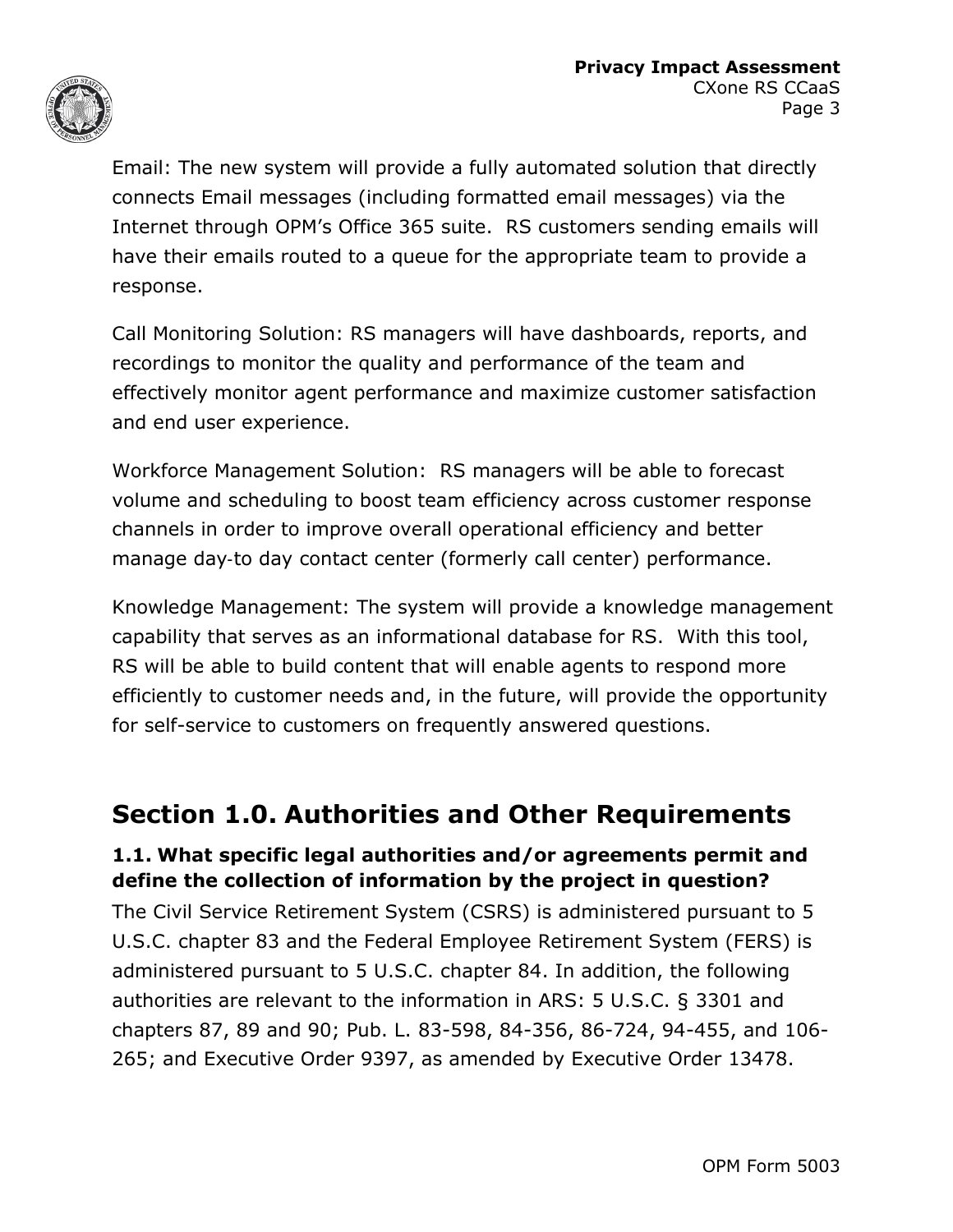

Email: The new system will provide a fully automated solution that directly connects Email messages (including formatted email messages) via the Internet through OPM's Office 365 suite. RS customers sending emails will have their emails routed to a queue for the appropriate team to provide a response.

Call Monitoring Solution: RS managers will have dashboards, reports, and recordings to monitor the quality and performance of the team and effectively monitor agent performance and maximize customer satisfaction and end user experience.

Workforce Management Solution: RS managers will be able to forecast volume and scheduling to boost team efficiency across customer response channels in order to improve overall operational efficiency and better manage day‐to day contact center (formerly call center) performance.

Knowledge Management: The system will provide a knowledge management capability that serves as an informational database for RS. With this tool, RS will be able to build content that will enable agents to respond more efficiently to customer needs and, in the future, will provide the opportunity for self-service to customers on frequently answered questions.

### **Section 1.0. Authorities and Other Requirements**

#### **1.1. What specific legal authorities and/or agreements permit and define the collection of information by the project in question?**

The Civil Service Retirement System (CSRS) is administered pursuant to 5 U.S.C. chapter 83 and the Federal Employee Retirement System (FERS) is administered pursuant to 5 U.S.C. chapter 84. In addition, the following authorities are relevant to the information in ARS: 5 U.S.C. § 3301 and chapters 87, 89 and 90; Pub. L. 83-598, 84-356, 86-724, 94-455, and 106- 265; and Executive Order 9397, as amended by Executive Order 13478.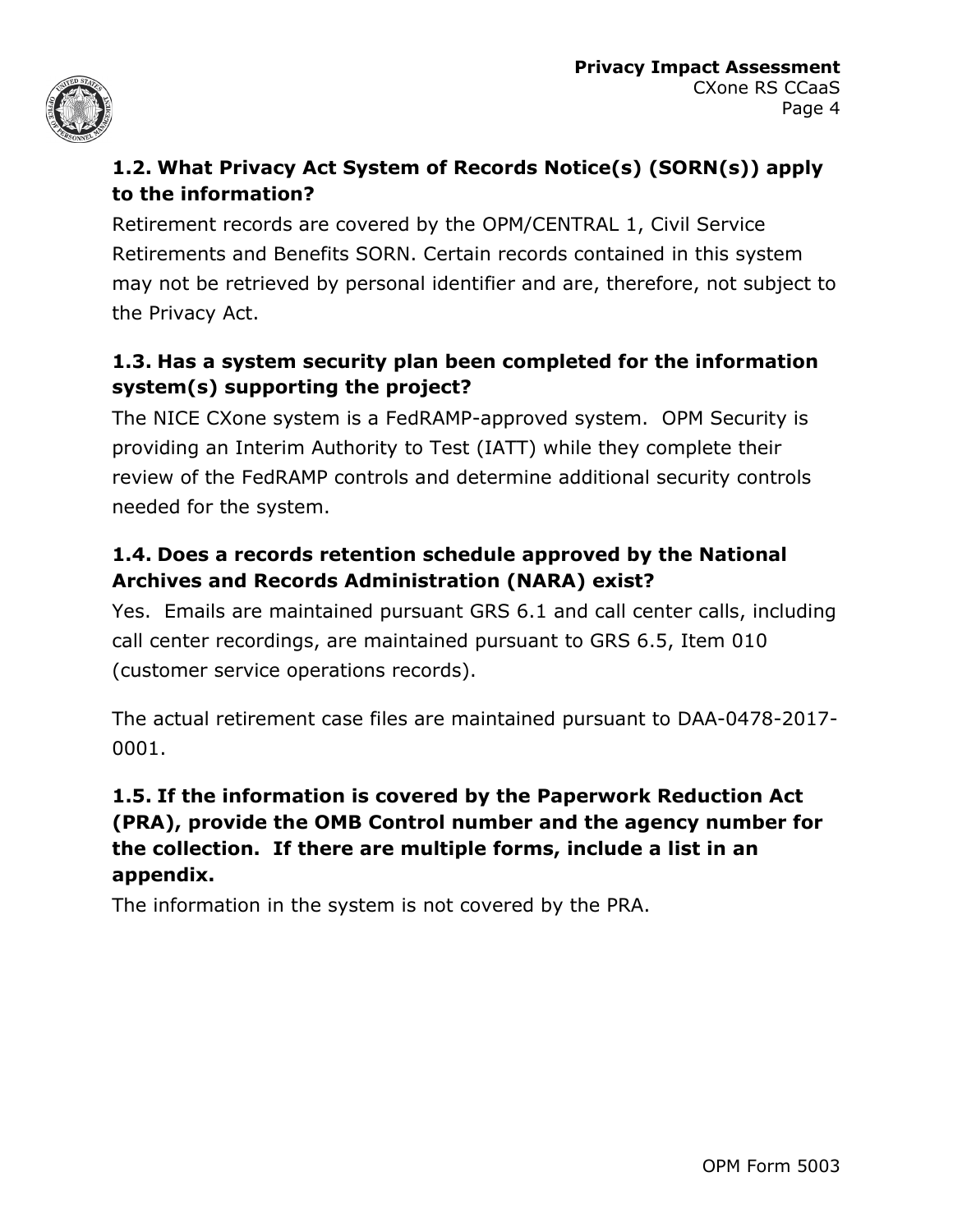

#### **1.2. What Privacy Act System of Records Notice(s) (SORN(s)) apply to the information?**

Retirement records are covered by the OPM/CENTRAL 1, Civil Service Retirements and Benefits SORN. Certain records contained in this system may not be retrieved by personal identifier and are, therefore, not subject to the Privacy Act.

#### **1.3. Has a system security plan been completed for the information system(s) supporting the project?**

The NICE CXone system is a FedRAMP-approved system. OPM Security is providing an Interim Authority to Test (IATT) while they complete their review of the FedRAMP controls and determine additional security controls needed for the system.

#### **1.4. Does a records retention schedule approved by the National Archives and Records Administration (NARA) exist?**

Yes. Emails are maintained pursuant GRS 6.1 and call center calls, including call center recordings, are maintained pursuant to GRS 6.5, Item 010 (customer service operations records).

The actual retirement case files are maintained pursuant to DAA-0478-2017- 0001.

#### **1.5. If the information is covered by the Paperwork Reduction Act (PRA), provide the OMB Control number and the agency number for the collection. If there are multiple forms, include a list in an appendix.**

The information in the system is not covered by the PRA.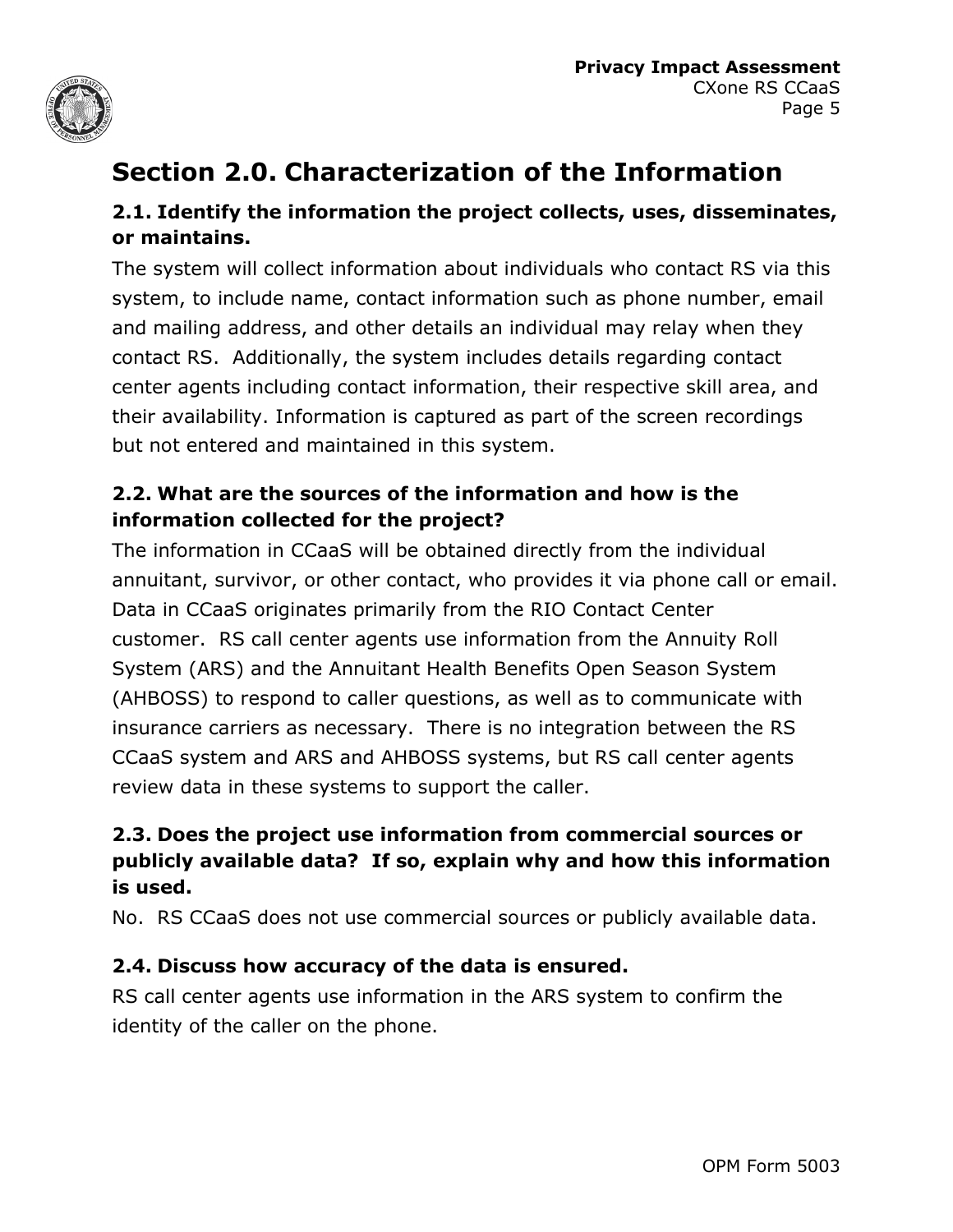

# **Section 2.0. Characterization of the Information**

#### **2.1. Identify the information the project collects, uses, disseminates, or maintains.**

The system will collect information about individuals who contact RS via this system, to include name, contact information such as phone number, email and mailing address, and other details an individual may relay when they contact RS. Additionally, the system includes details regarding contact center agents including contact information, their respective skill area, and their availability. Information is captured as part of the screen recordings but not entered and maintained in this system.

#### **2.2. What are the sources of the information and how is the information collected for the project?**

The information in CCaaS will be obtained directly from the individual annuitant, survivor, or other contact, who provides it via phone call or email. Data in CCaaS originates primarily from the RIO Contact Center customer. RS call center agents use information from the Annuity Roll System (ARS) and the Annuitant Health Benefits Open Season System (AHBOSS) to respond to caller questions, as well as to communicate with insurance carriers as necessary. There is no integration between the RS CCaaS system and ARS and AHBOSS systems, but RS call center agents review data in these systems to support the caller.

#### **2.3. Does the project use information from commercial sources or publicly available data? If so, explain why and how this information is used.**

No. RS CCaaS does not use commercial sources or publicly available data.

#### **2.4. Discuss how accuracy of the data is ensured.**

RS call center agents use information in the ARS system to confirm the identity of the caller on the phone.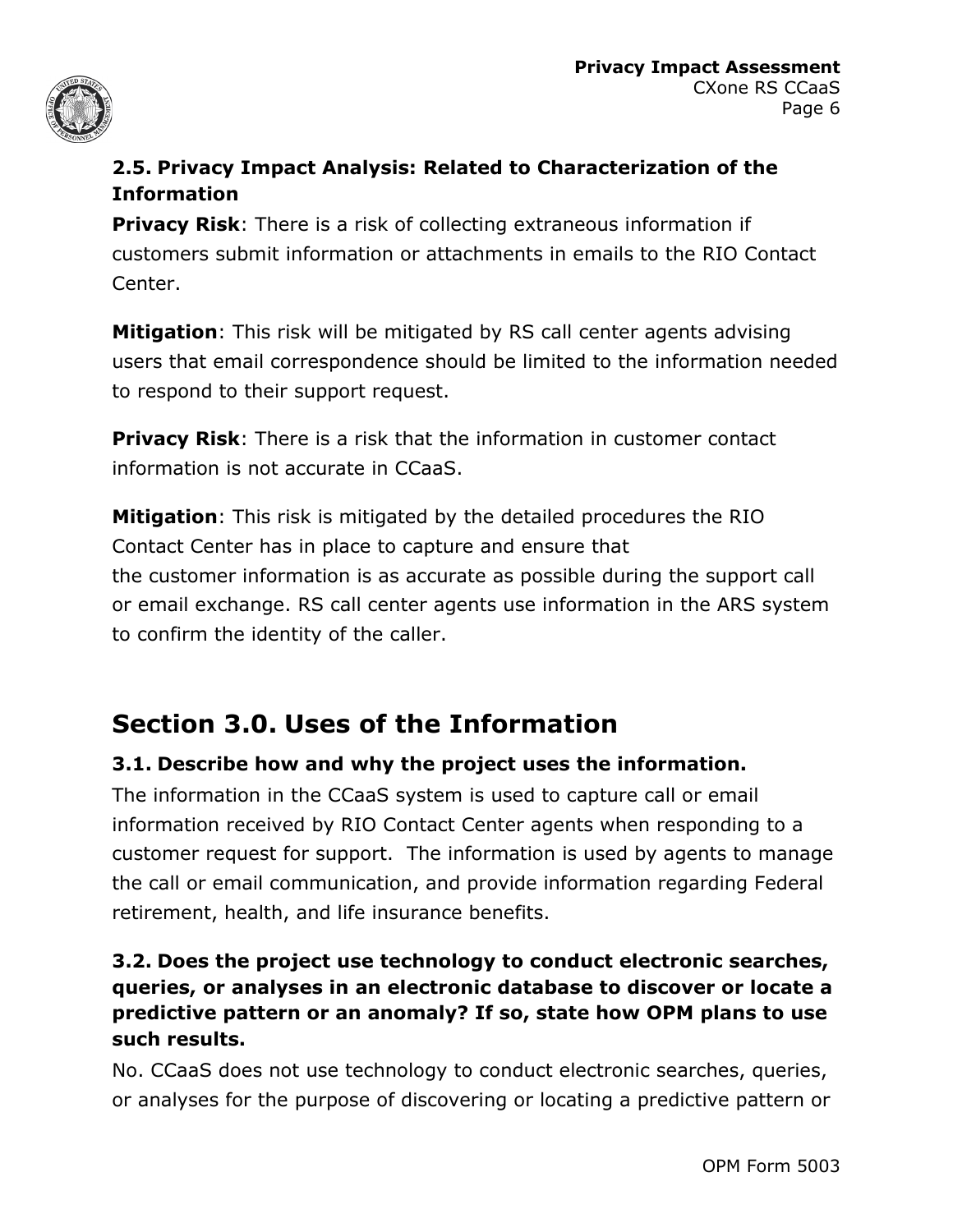

#### **2.5. Privacy Impact Analysis: Related to Characterization of the Information**

**Privacy Risk**: There is a risk of collecting extraneous information if customers submit information or attachments in emails to the RIO Contact Center.

**Mitigation**: This risk will be mitigated by RS call center agents advising users that email correspondence should be limited to the information needed to respond to their support request.

**Privacy Risk**: There is a risk that the information in customer contact information is not accurate in CCaaS.

**Mitigation**: This risk is mitigated by the detailed procedures the RIO Contact Center has in place to capture and ensure that the customer information is as accurate as possible during the support call or email exchange. RS call center agents use information in the ARS system to confirm the identity of the caller.

# **Section 3.0. Uses of the Information**

#### **3.1. Describe how and why the project uses the information.**

The information in the CCaaS system is used to capture call or email information received by RIO Contact Center agents when responding to a customer request for support. The information is used by agents to manage the call or email communication, and provide information regarding Federal retirement, health, and life insurance benefits.

#### **3.2. Does the project use technology to conduct electronic searches, queries, or analyses in an electronic database to discover or locate a predictive pattern or an anomaly? If so, state how OPM plans to use such results.**

No. CCaaS does not use technology to conduct electronic searches, queries, or analyses for the purpose of discovering or locating a predictive pattern or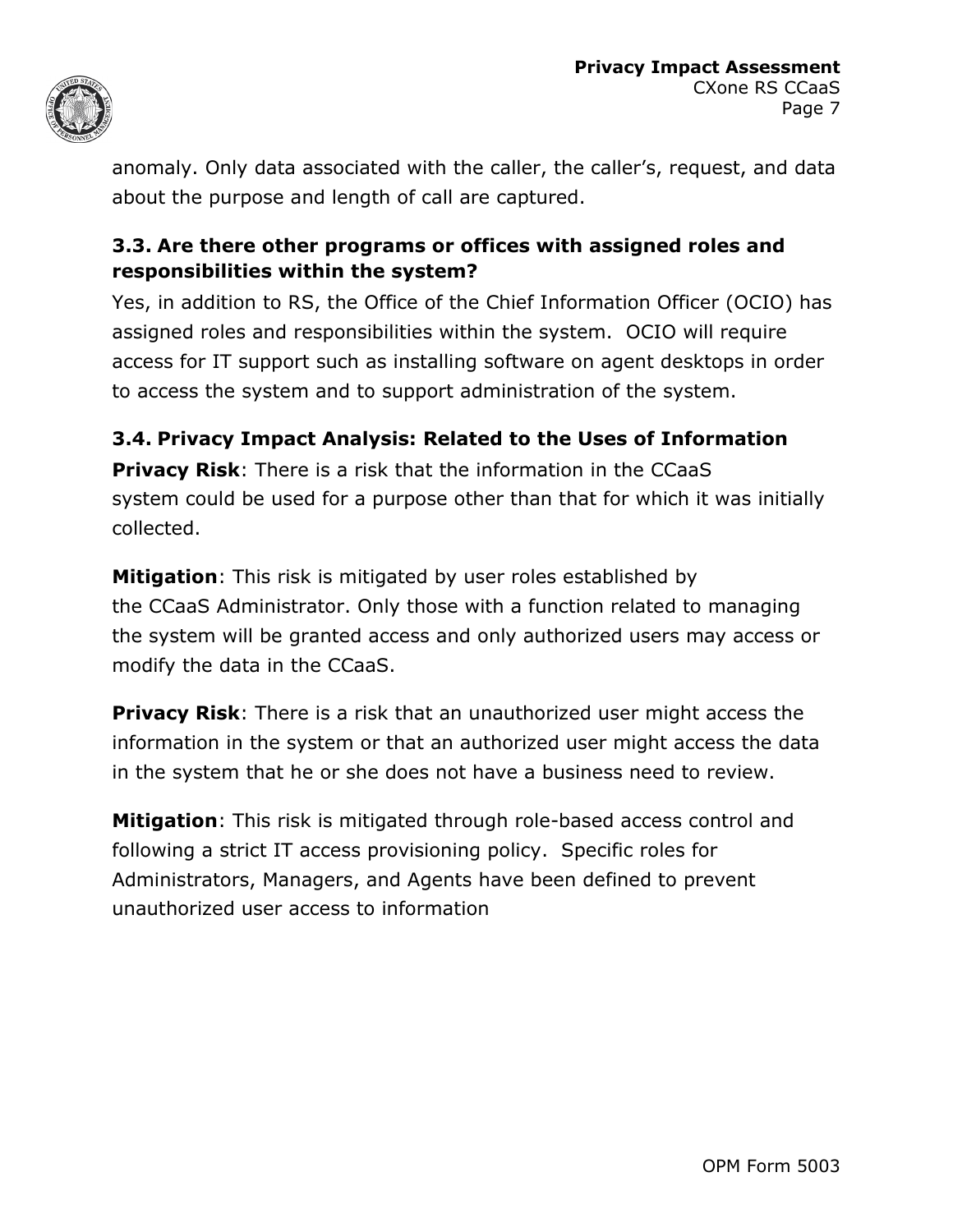

anomaly. Only data associated with the caller, the caller's, request, and data about the purpose and length of call are captured.

#### **3.3. Are there other programs or offices with assigned roles and responsibilities within the system?**

Yes, in addition to RS, the Office of the Chief Information Officer (OCIO) has assigned roles and responsibilities within the system. OCIO will require access for IT support such as installing software on agent desktops in order to access the system and to support administration of the system.

#### **3.4. Privacy Impact Analysis: Related to the Uses of Information**

**Privacy Risk**: There is a risk that the information in the CCaaS system could be used for a purpose other than that for which it was initially collected.

**Mitigation**: This risk is mitigated by user roles established by the CCaaS Administrator. Only those with a function related to managing the system will be granted access and only authorized users may access or modify the data in the CCaaS.

**Privacy Risk**: There is a risk that an unauthorized user might access the information in the system or that an authorized user might access the data in the system that he or she does not have a business need to review.

**Mitigation**: This risk is mitigated through role-based access control and following a strict IT access provisioning policy. Specific roles for Administrators, Managers, and Agents have been defined to prevent unauthorized user access to information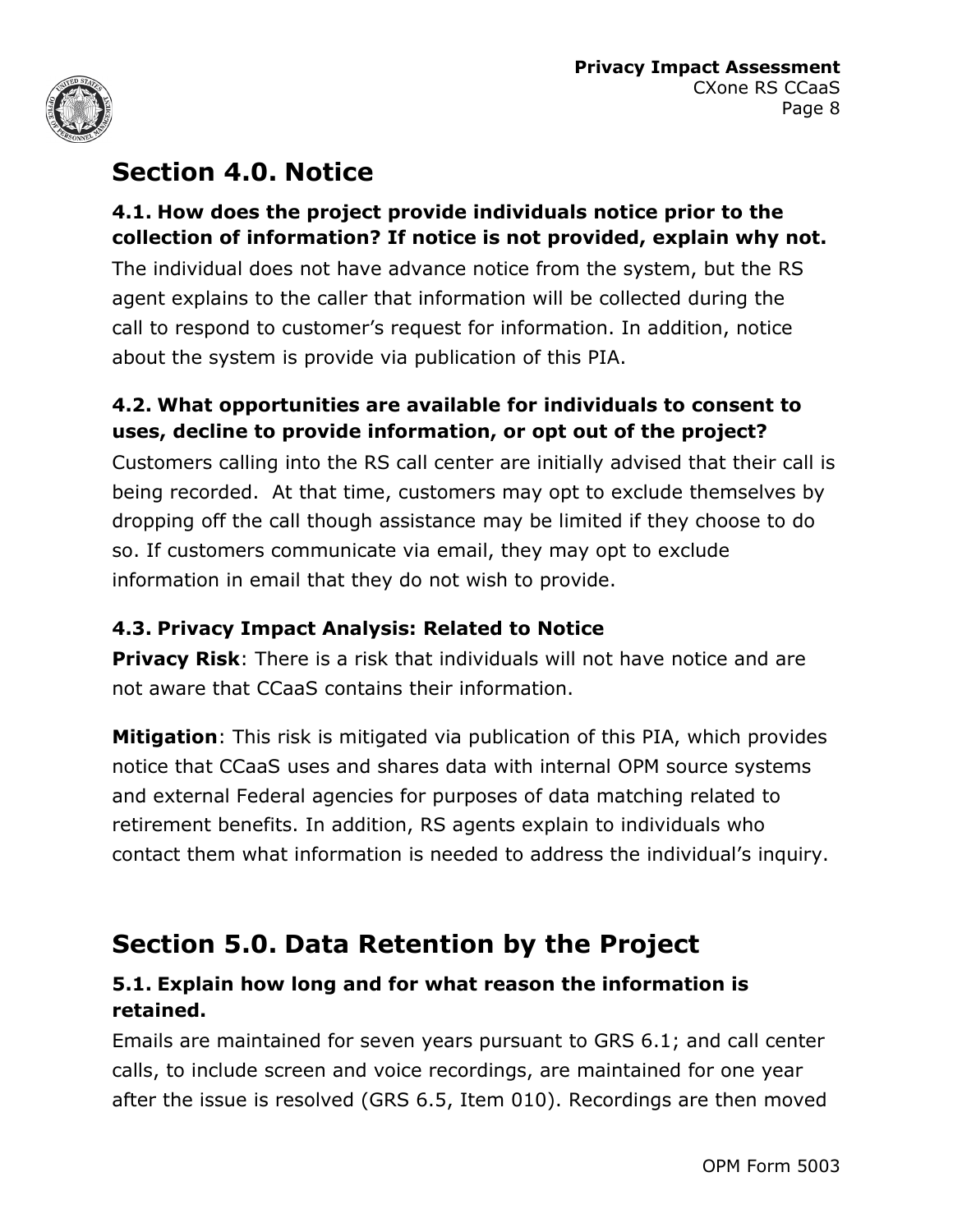

# **Section 4.0. Notice**

#### **4.1. How does the project provide individuals notice prior to the collection of information? If notice is not provided, explain why not.**

The individual does not have advance notice from the system, but the RS agent explains to the caller that information will be collected during the call to respond to customer's request for information. In addition, notice about the system is provide via publication of this PIA.

#### **4.2. What opportunities are available for individuals to consent to uses, decline to provide information, or opt out of the project?**

Customers calling into the RS call center are initially advised that their call is being recorded. At that time, customers may opt to exclude themselves by dropping off the call though assistance may be limited if they choose to do so. If customers communicate via email, they may opt to exclude information in email that they do not wish to provide.

#### **4.3. Privacy Impact Analysis: Related to Notice**

**Privacy Risk**: There is a risk that individuals will not have notice and are not aware that CCaaS contains their information.

**Mitigation**: This risk is mitigated via publication of this PIA, which provides notice that CCaaS uses and shares data with internal OPM source systems and external Federal agencies for purposes of data matching related to retirement benefits. In addition, RS agents explain to individuals who contact them what information is needed to address the individual's inquiry.

# **Section 5.0. Data Retention by the Project**

#### **5.1. Explain how long and for what reason the information is retained.**

Emails are maintained for seven years pursuant to GRS 6.1; and call center calls, to include screen and voice recordings, are maintained for one year after the issue is resolved (GRS 6.5, Item 010). Recordings are then moved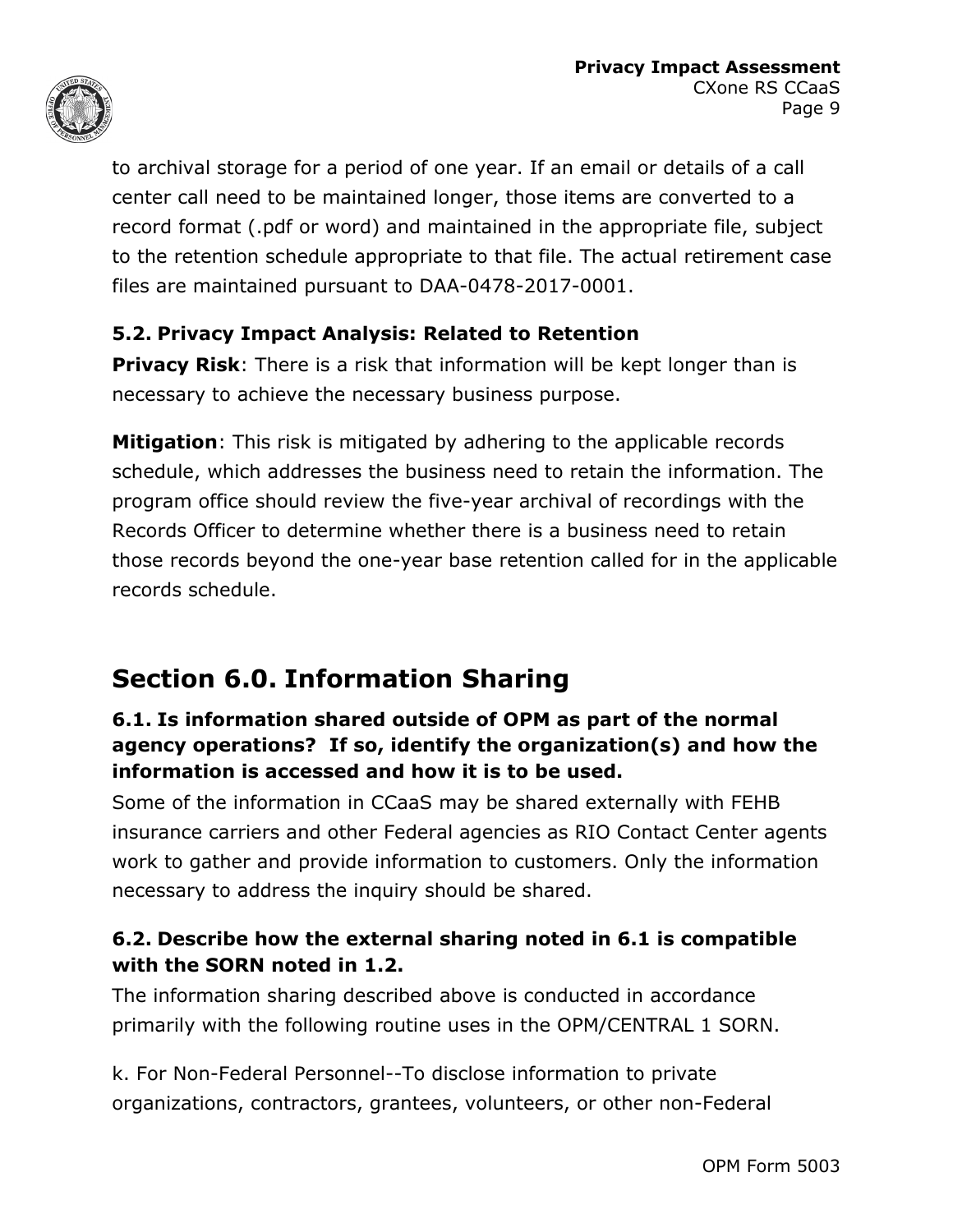

to archival storage for a period of one year. If an email or details of a call center call need to be maintained longer, those items are converted to a record format (.pdf or word) and maintained in the appropriate file, subject to the retention schedule appropriate to that file. The actual retirement case files are maintained pursuant to DAA-0478-2017-0001.

#### **5.2. Privacy Impact Analysis: Related to Retention**

**Privacy Risk:** There is a risk that information will be kept longer than is necessary to achieve the necessary business purpose.

**Mitigation**: This risk is mitigated by adhering to the applicable records schedule, which addresses the business need to retain the information. The program office should review the five-year archival of recordings with the Records Officer to determine whether there is a business need to retain those records beyond the one-year base retention called for in the applicable records schedule.

# **Section 6.0. Information Sharing**

#### **6.1. Is information shared outside of OPM as part of the normal agency operations? If so, identify the organization(s) and how the information is accessed and how it is to be used.**

Some of the information in CCaaS may be shared externally with FEHB insurance carriers and other Federal agencies as RIO Contact Center agents work to gather and provide information to customers. Only the information necessary to address the inquiry should be shared.

#### **6.2. Describe how the external sharing noted in 6.1 is compatible with the SORN noted in 1.2.**

The information sharing described above is conducted in accordance primarily with the following routine uses in the OPM/CENTRAL 1 SORN.

k. For Non-Federal Personnel--To disclose information to private organizations, contractors, grantees, volunteers, or other non-Federal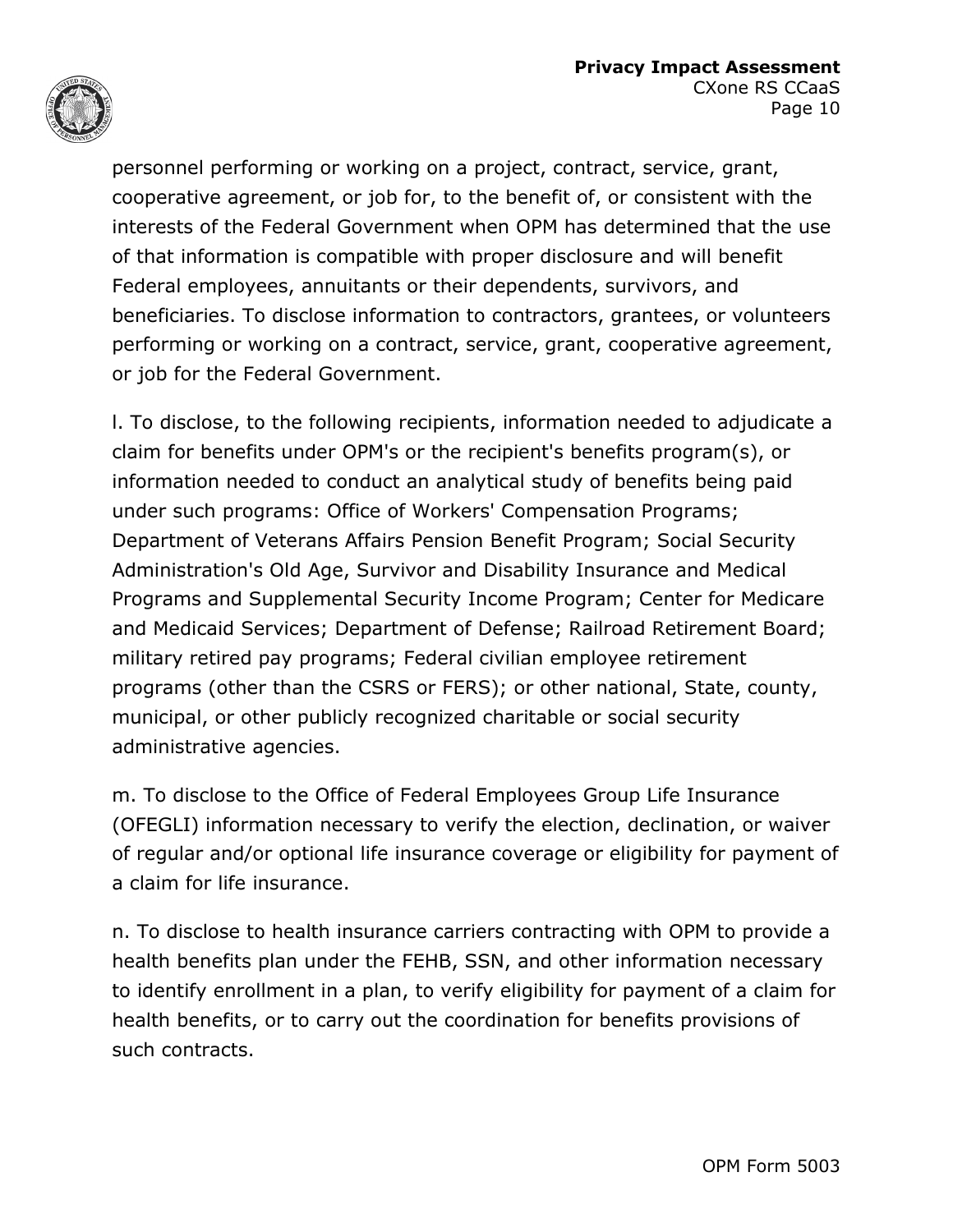

personnel performing or working on a project, contract, service, grant, cooperative agreement, or job for, to the benefit of, or consistent with the interests of the Federal Government when OPM has determined that the use of that information is compatible with proper disclosure and will benefit Federal employees, annuitants or their dependents, survivors, and beneficiaries. To disclose information to contractors, grantees, or volunteers performing or working on a contract, service, grant, cooperative agreement, or job for the Federal Government.

l. To disclose, to the following recipients, information needed to adjudicate a claim for benefits under OPM's or the recipient's benefits program(s), or information needed to conduct an analytical study of benefits being paid under such programs: Office of Workers' Compensation Programs; Department of Veterans Affairs Pension Benefit Program; Social Security Administration's Old Age, Survivor and Disability Insurance and Medical Programs and Supplemental Security Income Program; Center for Medicare and Medicaid Services; Department of Defense; Railroad Retirement Board; military retired pay programs; Federal civilian employee retirement programs (other than the CSRS or FERS); or other national, State, county, municipal, or other publicly recognized charitable or social security administrative agencies.

m. To disclose to the Office of Federal Employees Group Life Insurance (OFEGLI) information necessary to verify the election, declination, or waiver of regular and/or optional life insurance coverage or eligibility for payment of a claim for life insurance.

n. To disclose to health insurance carriers contracting with OPM to provide a health benefits plan under the FEHB, SSN, and other information necessary to identify enrollment in a plan, to verify eligibility for payment of a claim for health benefits, or to carry out the coordination for benefits provisions of such contracts.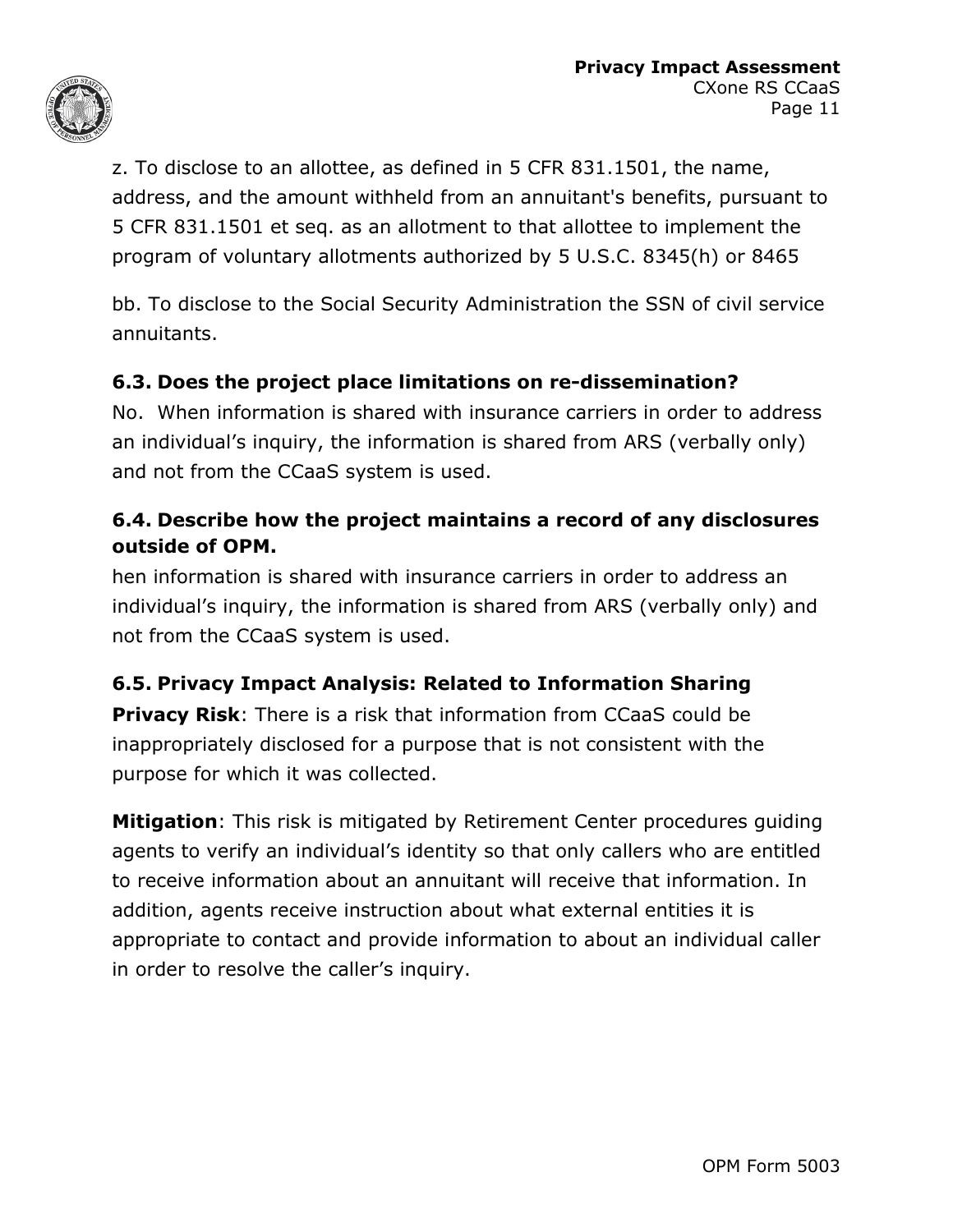

z. To disclose to an allottee, as defined in 5 CFR 831.1501, the name, address, and the amount withheld from an annuitant's benefits, pursuant to 5 CFR 831.1501 et seq. as an allotment to that allottee to implement the program of voluntary allotments authorized by 5 U.S.C. 8345(h) or 8465

bb. To disclose to the Social Security Administration the SSN of civil service annuitants.

#### **6.3. Does the project place limitations on re-dissemination?**

No. When information is shared with insurance carriers in order to address an individual's inquiry, the information is shared from ARS (verbally only) and not from the CCaaS system is used.

#### **6.4. Describe how the project maintains a record of any disclosures outside of OPM.**

hen information is shared with insurance carriers in order to address an individual's inquiry, the information is shared from ARS (verbally only) and not from the CCaaS system is used.

#### **6.5. Privacy Impact Analysis: Related to Information Sharing**

**Privacy Risk**: There is a risk that information from CCaaS could be inappropriately disclosed for a purpose that is not consistent with the purpose for which it was collected.

**Mitigation**: This risk is mitigated by Retirement Center procedures guiding agents to verify an individual's identity so that only callers who are entitled to receive information about an annuitant will receive that information. In addition, agents receive instruction about what external entities it is appropriate to contact and provide information to about an individual caller in order to resolve the caller's inquiry.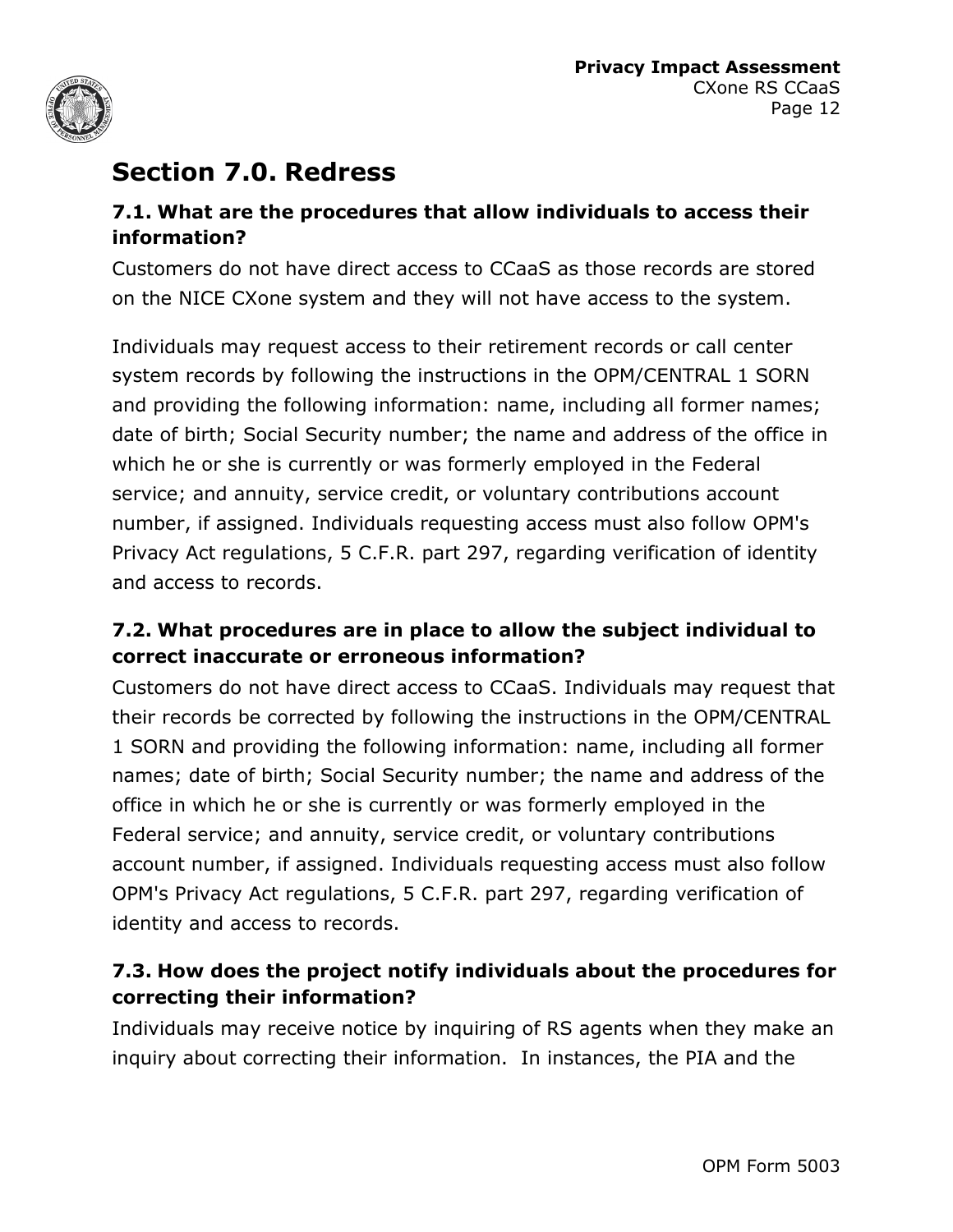

### **Section 7.0. Redress**

#### **7.1. What are the procedures that allow individuals to access their information?**

Customers do not have direct access to CCaaS as those records are stored on the NICE CXone system and they will not have access to the system.

Individuals may request access to their retirement records or call center system records by following the instructions in the OPM/CENTRAL 1 SORN and providing the following information: name, including all former names; date of birth; Social Security number; the name and address of the office in which he or she is currently or was formerly employed in the Federal service; and annuity, service credit, or voluntary contributions account number, if assigned. Individuals requesting access must also follow OPM's Privacy Act regulations, 5 C.F.R. part 297, regarding verification of identity and access to records.

#### **7.2. What procedures are in place to allow the subject individual to correct inaccurate or erroneous information?**

Customers do not have direct access to CCaaS. Individuals may request that their records be corrected by following the instructions in the OPM/CENTRAL 1 SORN and providing the following information: name, including all former names; date of birth; Social Security number; the name and address of the office in which he or she is currently or was formerly employed in the Federal service; and annuity, service credit, or voluntary contributions account number, if assigned. Individuals requesting access must also follow OPM's Privacy Act regulations, 5 C.F.R. part 297, regarding verification of identity and access to records.

#### **7.3. How does the project notify individuals about the procedures for correcting their information?**

Individuals may receive notice by inquiring of RS agents when they make an inquiry about correcting their information. In instances, the PIA and the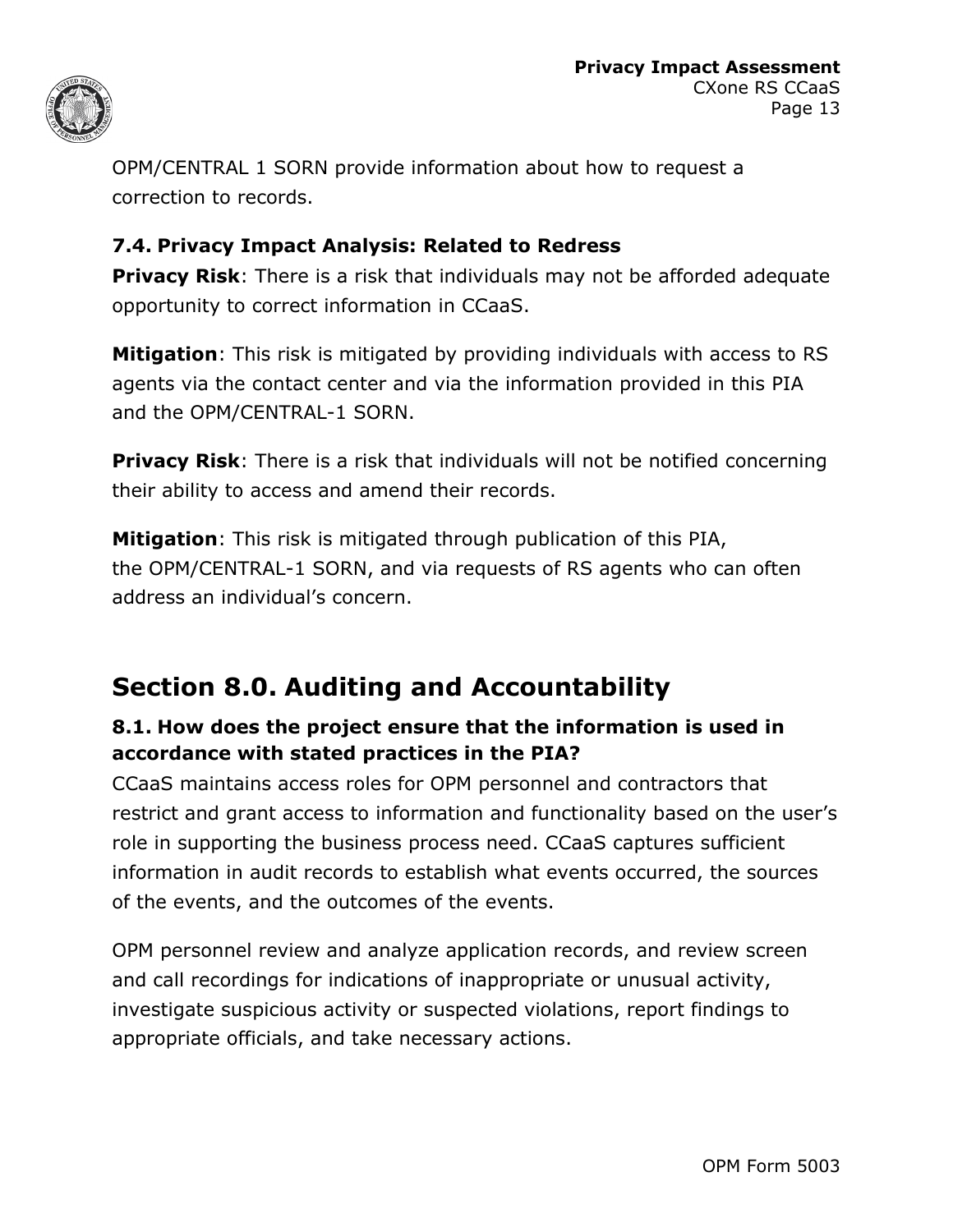

OPM/CENTRAL 1 SORN provide information about how to request a correction to records.

#### **7.4. Privacy Impact Analysis: Related to Redress**

**Privacy Risk**: There is a risk that individuals may not be afforded adequate opportunity to correct information in CCaaS.

**Mitigation**: This risk is mitigated by providing individuals with access to RS agents via the contact center and via the information provided in this PIA and the OPM/CENTRAL-1 SORN.

**Privacy Risk:** There is a risk that individuals will not be notified concerning their ability to access and amend their records.

**Mitigation**: This risk is mitigated through publication of this PIA, the OPM/CENTRAL-1 SORN, and via requests of RS agents who can often address an individual's concern.

# **Section 8.0. Auditing and Accountability**

#### **8.1. How does the project ensure that the information is used in accordance with stated practices in the PIA?**

CCaaS maintains access roles for OPM personnel and contractors that restrict and grant access to information and functionality based on the user's role in supporting the business process need. CCaaS captures sufficient information in audit records to establish what events occurred, the sources of the events, and the outcomes of the events.

OPM personnel review and analyze application records, and review screen and call recordings for indications of inappropriate or unusual activity, investigate suspicious activity or suspected violations, report findings to appropriate officials, and take necessary actions.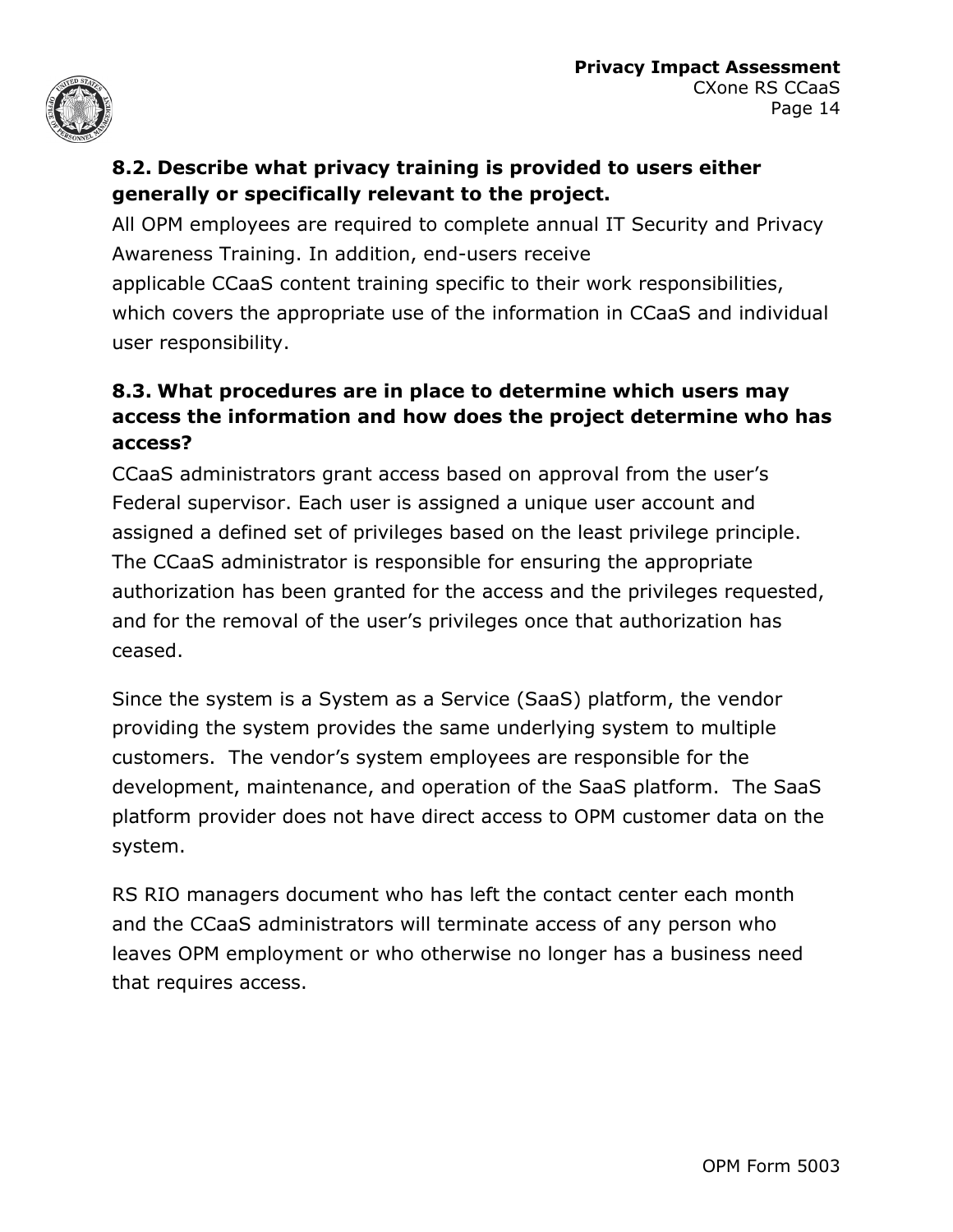

#### **8.2. Describe what privacy training is provided to users either generally or specifically relevant to the project.**

All OPM employees are required to complete annual IT Security and Privacy Awareness Training. In addition, end-users receive applicable CCaaS content training specific to their work responsibilities, which covers the appropriate use of the information in CCaaS and individual user responsibility.

#### **8.3. What procedures are in place to determine which users may access the information and how does the project determine who has access?**

CCaaS administrators grant access based on approval from the user's Federal supervisor. Each user is assigned a unique user account and assigned a defined set of privileges based on the least privilege principle. The CCaaS administrator is responsible for ensuring the appropriate authorization has been granted for the access and the privileges requested, and for the removal of the user's privileges once that authorization has ceased.

Since the system is a System as a Service (SaaS) platform, the vendor providing the system provides the same underlying system to multiple customers. The vendor's system employees are responsible for the development, maintenance, and operation of the SaaS platform. The SaaS platform provider does not have direct access to OPM customer data on the system.

RS RIO managers document who has left the contact center each month and the CCaaS administrators will terminate access of any person who leaves OPM employment or who otherwise no longer has a business need that requires access.